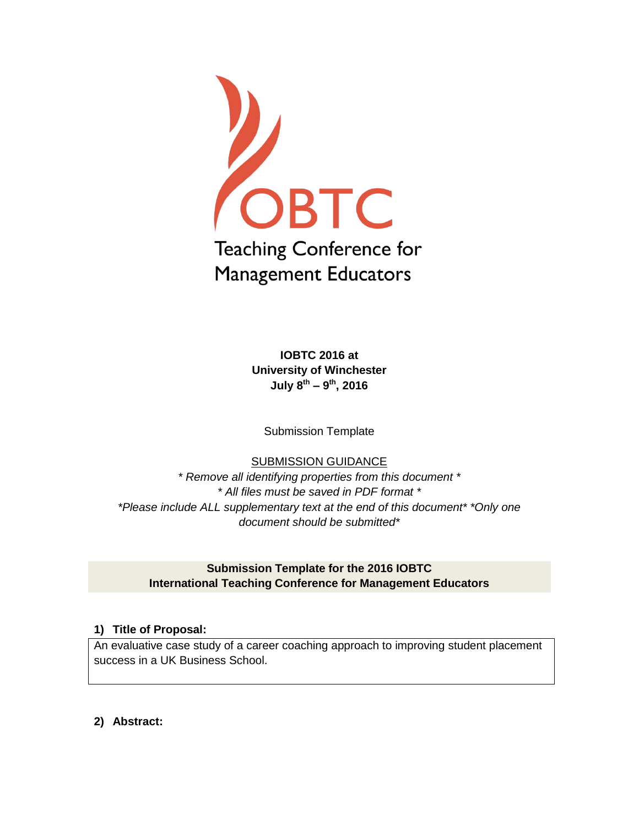

**IOBTC 2016 at University of Winchester July 8 th – 9 th, 2016**

Submission Template

# SUBMISSION GUIDANCE

*\* Remove all identifying properties from this document \* \* All files must be saved in PDF format \* \*Please include ALL supplementary text at the end of this document\* \*Only one document should be submitted\**

# **Submission Template for the 2016 IOBTC International Teaching Conference for Management Educators**

## **1) Title of Proposal:**

An evaluative case study of a career coaching approach to improving student placement success in a UK Business School.

**2) Abstract:**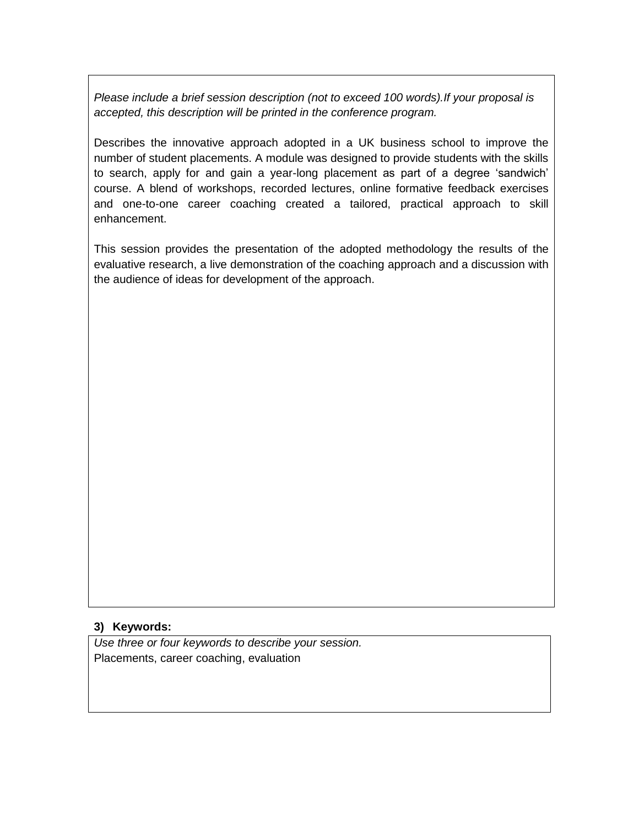*Please include a brief session description (not to exceed 100 words).If your proposal is accepted, this description will be printed in the conference program.*

Describes the innovative approach adopted in a UK business school to improve the number of student placements. A module was designed to provide students with the skills to search, apply for and gain a year-long placement as part of a degree 'sandwich' course. A blend of workshops, recorded lectures, online formative feedback exercises and one-to-one career coaching created a tailored, practical approach to skill enhancement.

This session provides the presentation of the adopted methodology the results of the evaluative research, a live demonstration of the coaching approach and a discussion with the audience of ideas for development of the approach.

### **3) Keywords:**

*Use three or four keywords to describe your session.* Placements, career coaching, evaluation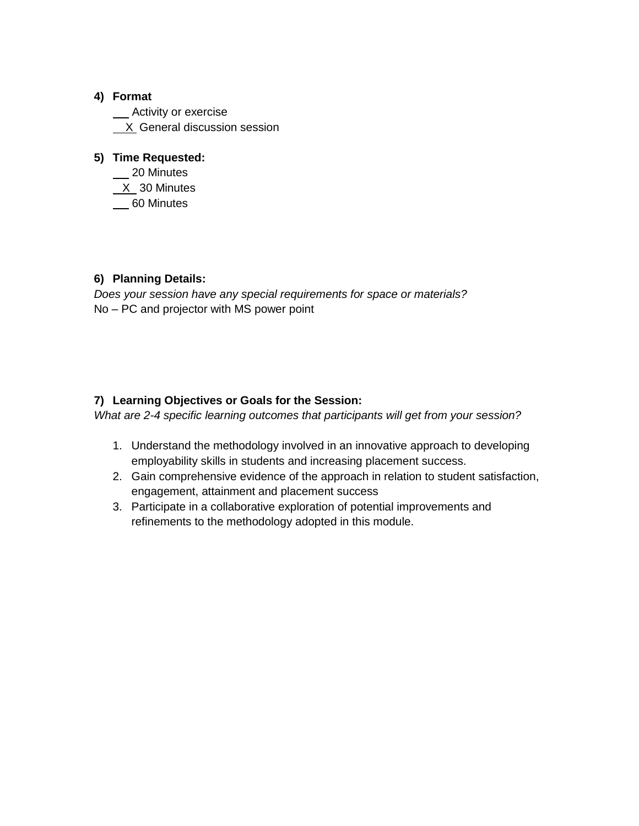## **4) Format**

\_\_ Activity or exercise X General discussion session

## **5) Time Requested:**

\_\_ 20 Minutes X 30 Minutes 60 Minutes

## **6) Planning Details:**

*Does your session have any special requirements for space or materials?* No – PC and projector with MS power point

## **7) Learning Objectives or Goals for the Session:**

*What are 2-4 specific learning outcomes that participants will get from your session?* 

- 1. Understand the methodology involved in an innovative approach to developing employability skills in students and increasing placement success.
- 2. Gain comprehensive evidence of the approach in relation to student satisfaction, engagement, attainment and placement success
- 3. Participate in a collaborative exploration of potential improvements and refinements to the methodology adopted in this module.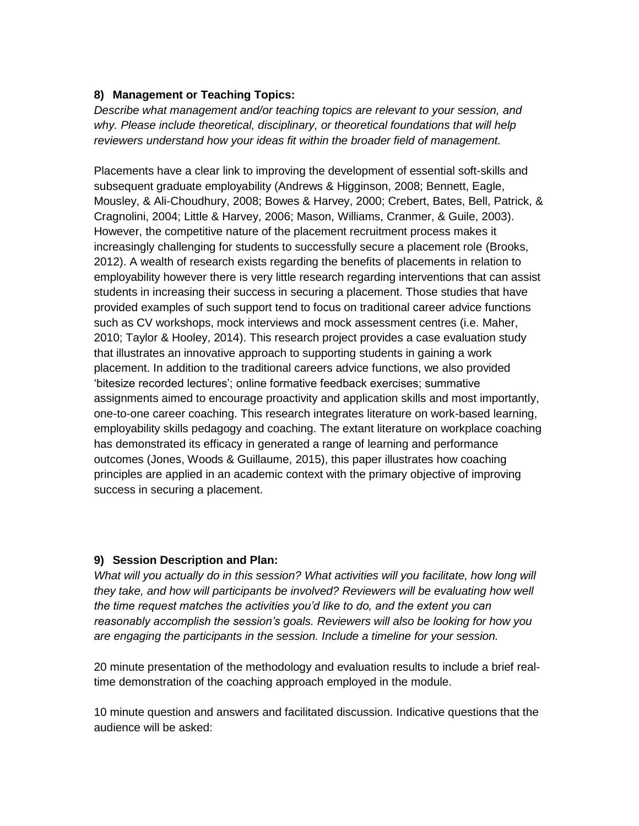## **8) Management or Teaching Topics:**

*Describe what management and/or teaching topics are relevant to your session, and why. Please include theoretical, disciplinary, or theoretical foundations that will help reviewers understand how your ideas fit within the broader field of management.*

Placements have a clear link to improving the development of essential soft-skills and subsequent graduate employability (Andrews & Higginson, 2008; Bennett, Eagle, Mousley, & Ali-Choudhury, 2008; Bowes & Harvey, 2000; Crebert, Bates, Bell, Patrick, & Cragnolini, 2004; Little & Harvey, 2006; Mason, Williams, Cranmer, & Guile, 2003). However, the competitive nature of the placement recruitment process makes it increasingly challenging for students to successfully secure a placement role (Brooks, 2012). A wealth of research exists regarding the benefits of placements in relation to employability however there is very little research regarding interventions that can assist students in increasing their success in securing a placement. Those studies that have provided examples of such support tend to focus on traditional career advice functions such as CV workshops, mock interviews and mock assessment centres (i.e. Maher, 2010; Taylor & Hooley, 2014). This research project provides a case evaluation study that illustrates an innovative approach to supporting students in gaining a work placement. In addition to the traditional careers advice functions, we also provided 'bitesize recorded lectures'; online formative feedback exercises; summative assignments aimed to encourage proactivity and application skills and most importantly, one-to-one career coaching. This research integrates literature on work-based learning, employability skills pedagogy and coaching. The extant literature on workplace coaching has demonstrated its efficacy in generated a range of learning and performance outcomes (Jones, Woods & Guillaume, 2015), this paper illustrates how coaching principles are applied in an academic context with the primary objective of improving success in securing a placement.

### **9) Session Description and Plan:**

*What will you actually do in this session? What activities will you facilitate, how long will they take, and how will participants be involved? Reviewers will be evaluating how well the time request matches the activities you'd like to do, and the extent you can reasonably accomplish the session's goals. Reviewers will also be looking for how you are engaging the participants in the session. Include a timeline for your session.*

20 minute presentation of the methodology and evaluation results to include a brief realtime demonstration of the coaching approach employed in the module.

10 minute question and answers and facilitated discussion. Indicative questions that the audience will be asked: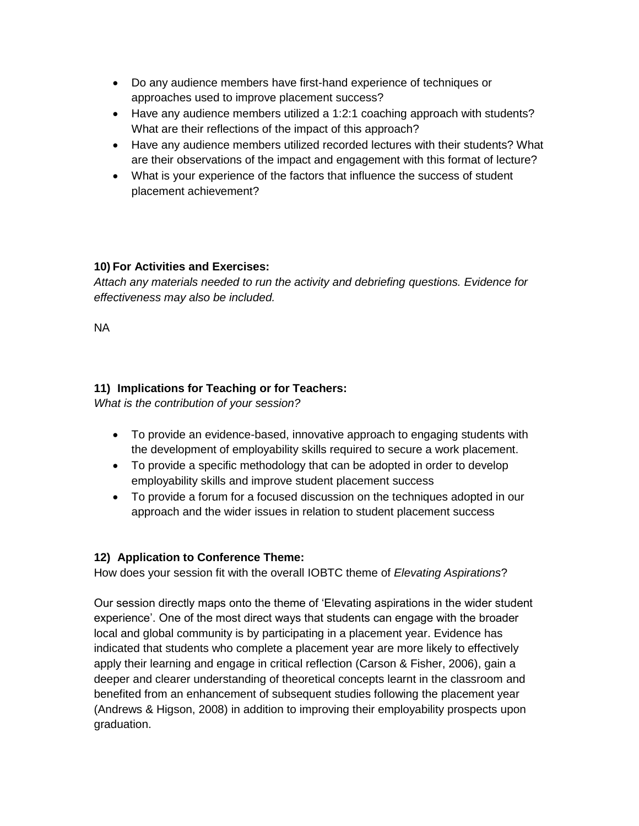- Do any audience members have first-hand experience of techniques or approaches used to improve placement success?
- Have any audience members utilized a 1:2:1 coaching approach with students? What are their reflections of the impact of this approach?
- Have any audience members utilized recorded lectures with their students? What are their observations of the impact and engagement with this format of lecture?
- What is your experience of the factors that influence the success of student placement achievement?

## **10) For Activities and Exercises:**

*Attach any materials needed to run the activity and debriefing questions. Evidence for effectiveness may also be included.*

NA

# **11) Implications for Teaching or for Teachers:**

*What is the contribution of your session?* 

- To provide an evidence-based, innovative approach to engaging students with the development of employability skills required to secure a work placement.
- To provide a specific methodology that can be adopted in order to develop employability skills and improve student placement success
- To provide a forum for a focused discussion on the techniques adopted in our approach and the wider issues in relation to student placement success

## **12) Application to Conference Theme:**

How does your session fit with the overall IOBTC theme of *Elevating Aspirations*?

Our session directly maps onto the theme of 'Elevating aspirations in the wider student experience'. One of the most direct ways that students can engage with the broader local and global community is by participating in a placement year. Evidence has indicated that students who complete a placement year are more likely to effectively apply their learning and engage in critical reflection (Carson & Fisher, 2006), gain a deeper and clearer understanding of theoretical concepts learnt in the classroom and benefited from an enhancement of subsequent studies following the placement year (Andrews & Higson, 2008) in addition to improving their employability prospects upon graduation.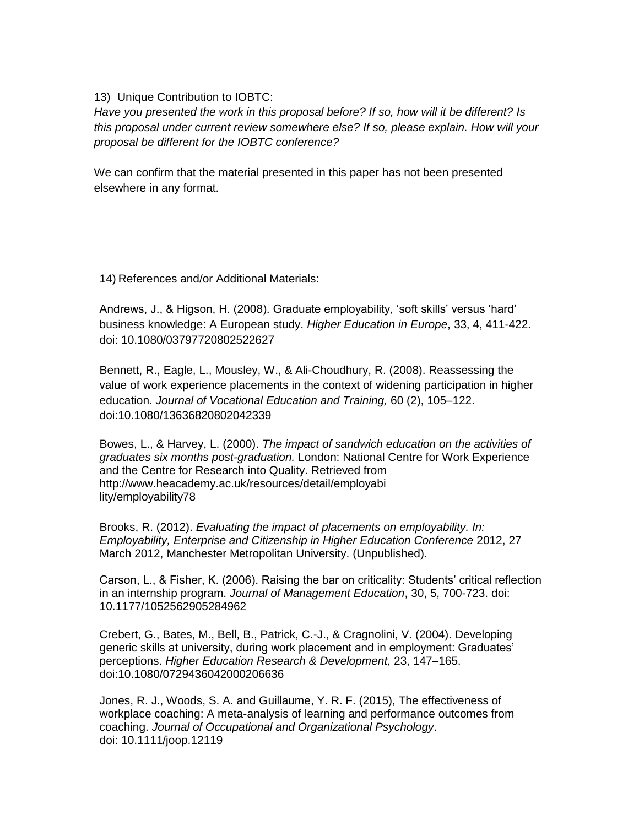### 13) Unique Contribution to IOBTC:

*Have you presented the work in this proposal before? If so, how will it be different? Is this proposal under current review somewhere else? If so, please explain. How will your proposal be different for the IOBTC conference?*

We can confirm that the material presented in this paper has not been presented elsewhere in any format.

14) References and/or Additional Materials:

Andrews, J., & Higson, H. (2008). Graduate employability, 'soft skills' versus 'hard' business knowledge: A European study. *Higher Education in Europe*, 33, 4, 411-422. doi: 10.1080/03797720802522627

Bennett, R., Eagle, L., Mousley, W., & Ali-Choudhury, R. (2008). Reassessing the value of work experience placements in the context of widening participation in higher education. *Journal of Vocational Education and Training,* 60 (2), 105–122. doi:10.1080/13636820802042339

Bowes, L., & Harvey, L. (2000). *The impact of sandwich education on the activities of graduates six months post-graduation.* London: National Centre for Work Experience and the Centre for Research into Quality. Retrieved from http://www.heacademy.ac.uk/resources/detail/employabi lity/employability78

Brooks, R. (2012). *Evaluating the impact of placements on employability. In: Employability, Enterprise and Citizenship in Higher Education Conference* 2012, 27 March 2012, Manchester Metropolitan University. (Unpublished).

Carson, L., & Fisher, K. (2006). Raising the bar on criticality: Students' critical reflection in an internship program. *Journal of Management Education*, 30, 5, 700-723. doi: 10.1177/1052562905284962

Crebert, G., Bates, M., Bell, B., Patrick, C.-J., & Cragnolini, V. (2004). Developing generic skills at university, during work placement and in employment: Graduates' perceptions. *Higher Education Research & Development,* 23, 147–165. doi:10.1080/0729436042000206636

Jones, R. J., Woods, S. A. and Guillaume, Y. R. F. (2015), The effectiveness of workplace coaching: A meta-analysis of learning and performance outcomes from coaching. *Journal of Occupational and Organizational Psychology*. doi: 10.1111/joop.12119